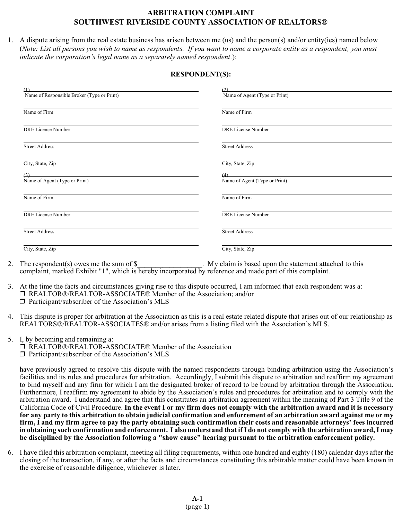## **ARBITRATION COMPLAINT SOUTHWEST RIVERSIDE COUNTY ASSOCIATION OF REALTORS®**

1. A dispute arising from the real estate business has arisen between me (us) and the person(s) and/or entity(ies) named below (*Note: List all persons you wish to name as respondents. If you want to name a corporate entity as a respondent, you must indicate the corporation's legal name as a separately named respondent.*):

## **RESPONDENT(S):**

| $\omega$                                   |                               |
|--------------------------------------------|-------------------------------|
| Name of Responsible Broker (Type or Print) | Name of Agent (Type or Print) |
| Name of Firm                               | Name of Firm                  |
| <b>DRE License Number</b>                  | <b>DRE License Number</b>     |
| <b>Street Address</b>                      | <b>Street Address</b>         |
| City, State, Zip                           | City, State, Zip              |
| (3)                                        |                               |
| Name of Agent (Type or Print)              | Name of Agent (Type or Print) |
| Name of Firm                               | Name of Firm                  |
| DRE License Number                         | <b>DRE</b> License Number     |
| <b>Street Address</b>                      | <b>Street Address</b>         |
| City, State, Zip                           | City, State, Zip              |

- 2. The respondent(s) owes me the sum of \$ . My claim is based upon the statement attached to this complaint, marked Exhibit "1", which is hereby incorporated by reference and made part of this complaint.
- 3. At the time the facts and circumstances giving rise to this dispute occurred, I am informed that each respondent was a: REALTOR®/REALTOR-ASSOCIATE® Member of the Association; and/or  $\square$  Participant/subscriber of the Association's MLS
- 4. This dispute is proper for arbitration at the Association as this is a real estate related dispute that arises out of our relationship as REALTORS®/REALTOR-ASSOCIATES® and/or arises from a listing filed with the Association's MLS.
- 5. I, by becoming and remaining a: □ REALTOR®/REALTOR-ASSOCIATE® Member of the Association  $\Box$  Participant/subscriber of the Association's MLS

have previously agreed to resolve this dispute with the named respondents through binding arbitration using the Association's facilities and its rules and procedures for arbitration. Accordingly, I submit this dispute to arbitration and reaffirm my agreement to bind myself and any firm for which I am the designated broker of record to be bound by arbitration through the Association. Furthermore, I reaffirm my agreement to abide by the Association's rules and procedures for arbitration and to comply with the arbitration award. I understand and agree that this constitutes an arbitration agreement within the meaning of Part 3 Title 9 of the California Code of Civil Procedure. **In the event I or my firm does not comply with the arbitration award and it is necessary for any party to this arbitration to obtain judicial confirmation and enforcement of an arbitration award against me or my firm, I and my firm agree to pay the party obtaining such confirmation their costs and reasonable attorneys' fees incurred in obtaining such confirmation and enforcement. I also understand that ifI do not comply with the arbitration award, I may be disciplined by the Association following a "show cause" hearing pursuant to the arbitration enforcement policy.**

6. I have filed this arbitration complaint, meeting all filing requirements, within one hundred and eighty (180) calendar days after the closing of the transaction, if any, or after the facts and circumstances constituting this arbitrable matter could have been known in the exercise of reasonable diligence, whichever is later.